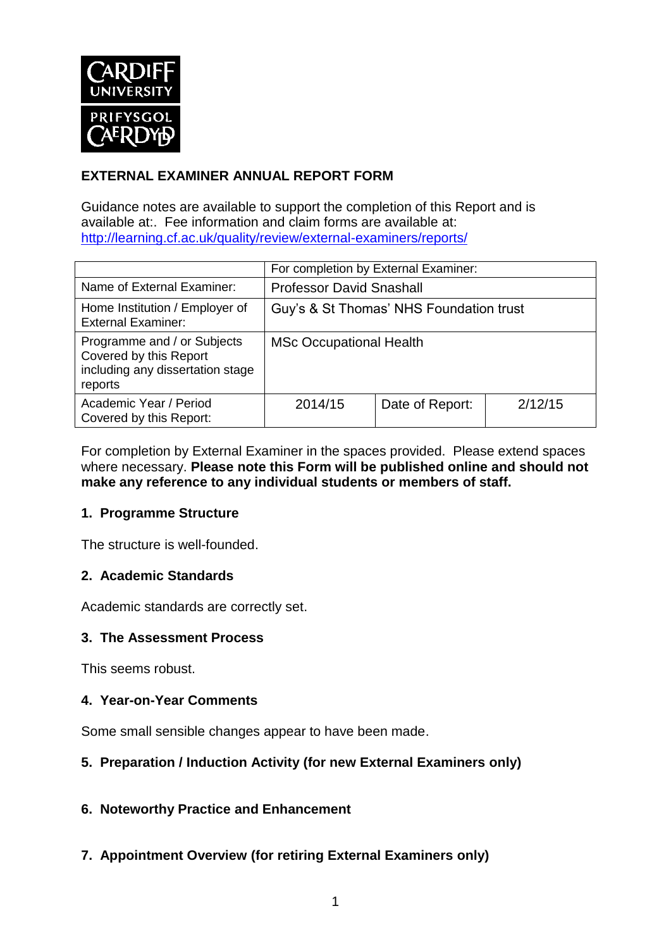

## **EXTERNAL EXAMINER ANNUAL REPORT FORM**

Guidance notes are available to support the completion of this Report and is available at:. Fee information and claim forms are available at: <http://learning.cf.ac.uk/quality/review/external-examiners/reports/>

|                                                                                                      | For completion by External Examiner:    |                 |         |  |
|------------------------------------------------------------------------------------------------------|-----------------------------------------|-----------------|---------|--|
| Name of External Examiner:                                                                           | <b>Professor David Snashall</b>         |                 |         |  |
| Home Institution / Employer of<br><b>External Examiner:</b>                                          | Guy's & St Thomas' NHS Foundation trust |                 |         |  |
| Programme and / or Subjects<br>Covered by this Report<br>including any dissertation stage<br>reports | <b>MSc Occupational Health</b>          |                 |         |  |
| Academic Year / Period<br>Covered by this Report:                                                    | 2014/15                                 | Date of Report: | 2/12/15 |  |

For completion by External Examiner in the spaces provided. Please extend spaces where necessary. **Please note this Form will be published online and should not make any reference to any individual students or members of staff.**

#### **1. Programme Structure**

The structure is well-founded.

### **2. Academic Standards**

Academic standards are correctly set.

#### **3. The Assessment Process**

This seems robust.

#### **4. Year-on-Year Comments**

Some small sensible changes appear to have been made.

#### **5. Preparation / Induction Activity (for new External Examiners only)**

#### **6. Noteworthy Practice and Enhancement**

**7. Appointment Overview (for retiring External Examiners only)**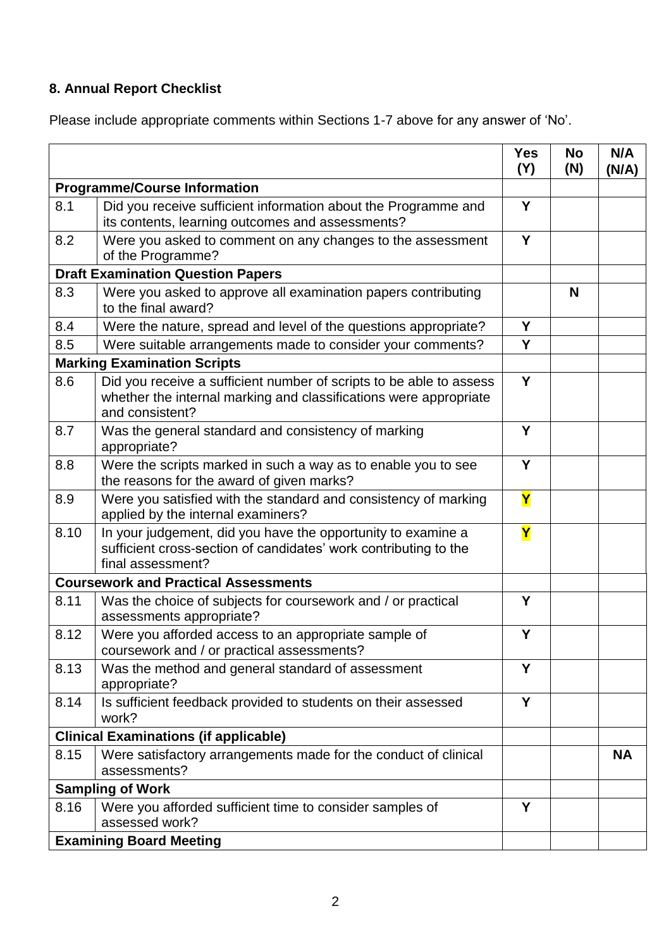# **8. Annual Report Checklist**

Please include appropriate comments within Sections 1-7 above for any answer of 'No'.

|                                             |                                                                                                                                                             | <b>Yes</b><br>(Y) | <b>No</b><br>(N) | N/A<br>(N/A) |  |
|---------------------------------------------|-------------------------------------------------------------------------------------------------------------------------------------------------------------|-------------------|------------------|--------------|--|
| <b>Programme/Course Information</b>         |                                                                                                                                                             |                   |                  |              |  |
| 8.1                                         | Did you receive sufficient information about the Programme and<br>its contents, learning outcomes and assessments?                                          | Y                 |                  |              |  |
| 8.2                                         | Were you asked to comment on any changes to the assessment<br>of the Programme?                                                                             | Y                 |                  |              |  |
| <b>Draft Examination Question Papers</b>    |                                                                                                                                                             |                   |                  |              |  |
| 8.3                                         | Were you asked to approve all examination papers contributing<br>to the final award?                                                                        |                   | N                |              |  |
| 8.4                                         | Were the nature, spread and level of the questions appropriate?                                                                                             | Y                 |                  |              |  |
| 8.5                                         | Were suitable arrangements made to consider your comments?                                                                                                  | Y                 |                  |              |  |
|                                             | <b>Marking Examination Scripts</b>                                                                                                                          |                   |                  |              |  |
| 8.6                                         | Did you receive a sufficient number of scripts to be able to assess<br>whether the internal marking and classifications were appropriate<br>and consistent? | Y                 |                  |              |  |
| 8.7                                         | Was the general standard and consistency of marking<br>appropriate?                                                                                         | Y                 |                  |              |  |
| 8.8                                         | Were the scripts marked in such a way as to enable you to see<br>the reasons for the award of given marks?                                                  | Y                 |                  |              |  |
| 8.9                                         | Were you satisfied with the standard and consistency of marking<br>applied by the internal examiners?                                                       | Y                 |                  |              |  |
| 8.10                                        | In your judgement, did you have the opportunity to examine a<br>sufficient cross-section of candidates' work contributing to the<br>final assessment?       | Y                 |                  |              |  |
| <b>Coursework and Practical Assessments</b> |                                                                                                                                                             |                   |                  |              |  |
| 8.11                                        | Was the choice of subjects for coursework and / or practical<br>assessments appropriate?                                                                    | Y                 |                  |              |  |
| 8.12                                        | Were you afforded access to an appropriate sample of<br>coursework and / or practical assessments?                                                          | Y                 |                  |              |  |
| 8.13                                        | Was the method and general standard of assessment<br>appropriate?                                                                                           | Y                 |                  |              |  |
| 8.14                                        | Is sufficient feedback provided to students on their assessed<br>work?                                                                                      | Y                 |                  |              |  |
|                                             | <b>Clinical Examinations (if applicable)</b>                                                                                                                |                   |                  |              |  |
| 8.15                                        | Were satisfactory arrangements made for the conduct of clinical<br>assessments?                                                                             |                   |                  | <b>NA</b>    |  |
|                                             | <b>Sampling of Work</b>                                                                                                                                     |                   |                  |              |  |
| 8.16                                        | Were you afforded sufficient time to consider samples of<br>assessed work?                                                                                  | Y                 |                  |              |  |
| <b>Examining Board Meeting</b>              |                                                                                                                                                             |                   |                  |              |  |